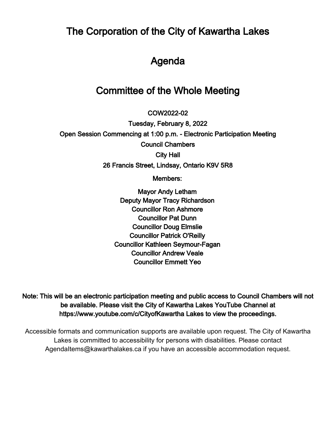The Corporation of the City of Kawartha Lakes

# Agenda

# Committee of the Whole Meeting

 $\overline{\phantom{a}}$ COW2022-02

Tuesday, February 8, 2022 Open Session Commencing at 1:00 p.m. - Electronic Participation Meeting Council Chambers City Hall 26 Francis Street, Lindsay, Ontario K9V 5R8

Members:

Mayor Andy Letham Deputy Mayor Tracy Richardson Councillor Ron Ashmore Councillor Pat Dunn Councillor Doug Elmslie Councillor Patrick O'Reilly Councillor Kathleen Seymour-Fagan Councillor Andrew Veale Councillor Emmett Yeo

Note: This will be an electronic participation meeting and public access to Council Chambers will not be available. Please visit the City of Kawartha Lakes YouTube Channel at https://www.youtube.com/c/CityofKawartha Lakes to view the proceedings.

Accessible formats and communication supports are available upon request. The City of Kawartha Lakes is committed to accessibility for persons with disabilities. Please contact AgendaItems@kawarthalakes.ca if you have an accessible accommodation request.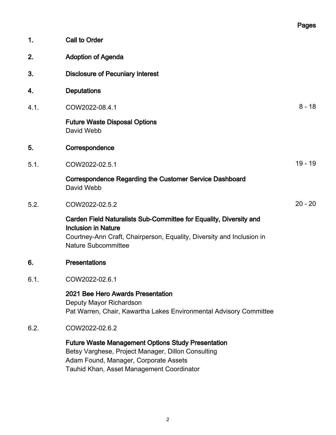|      |                                                                                                                                                                                                         | Pages     |
|------|---------------------------------------------------------------------------------------------------------------------------------------------------------------------------------------------------------|-----------|
| 1.   | <b>Call to Order</b>                                                                                                                                                                                    |           |
| 2.   | <b>Adoption of Agenda</b>                                                                                                                                                                               |           |
| 3.   | <b>Disclosure of Pecuniary Interest</b>                                                                                                                                                                 |           |
| 4.   | <b>Deputations</b>                                                                                                                                                                                      |           |
| 4.1. | COW2022-08.4.1                                                                                                                                                                                          | $8 - 18$  |
|      | <b>Future Waste Disposal Options</b><br>David Webb                                                                                                                                                      |           |
| 5.   | Correspondence                                                                                                                                                                                          |           |
| 5.1. | COW2022-02.5.1                                                                                                                                                                                          | $19 - 19$ |
|      | Correspondence Regarding the Customer Service Dashboard<br>David Webb                                                                                                                                   |           |
| 5.2. | COW2022-02.5.2                                                                                                                                                                                          | $20 - 20$ |
|      | Carden Field Naturalists Sub-Committee for Equality, Diversity and<br><b>Inclusion in Nature</b><br>Courtney-Ann Craft, Chairperson, Equality, Diversity and Inclusion in<br><b>Nature Subcommittee</b> |           |
| 6.   | <b>Presentations</b>                                                                                                                                                                                    |           |
| 6.1. | COW2022-02.6.1                                                                                                                                                                                          |           |
|      | 2021 Bee Hero Awards Presentation<br>Deputy Mayor Richardson<br>Pat Warren, Chair, Kawartha Lakes Environmental Advisory Committee                                                                      |           |
| 6.2. | COW2022-02.6.2                                                                                                                                                                                          |           |
|      | <b>Future Waste Management Options Study Presentation</b><br>Betsy Varghese, Project Manager, Dillon Consulting<br>Adam Found, Manager, Corporate Assets<br>Tauhid Khan, Asset Management Coordinator   |           |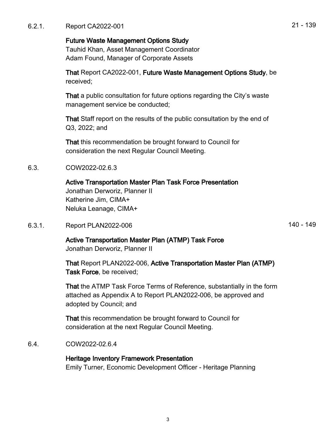## Future Waste Management Options Study

Tauhid Khan, Asset Management Coordinator Adam Found, Manager of Corporate Assets

That Report CA2022-001, Future Waste Management Options Study, be received;

That a public consultation for future options regarding the City's waste management service be conducted;

That Staff report on the results of the public consultation by the end of Q3, 2022; and

That this recommendation be brought forward to Council for consideration the next Regular Council Meeting.

6.3. COW2022-02.6.3

Active Transportation Master Plan Task Force Presentation Jonathan Derworiz, Planner II Katherine Jim, CIMA+ Neluka Leanage, CIMA+

6.3.1. Report PLAN2022-006 140 - 149

Active Transportation Master Plan (ATMP) Task Force Jonathan Derworiz, Planner II

That Report PLAN2022-006, Active Transportation Master Plan (ATMP) Task Force, be received;

That the ATMP Task Force Terms of Reference, substantially in the form attached as Appendix A to Report PLAN2022-006, be approved and adopted by Council; and

That this recommendation be brought forward to Council for consideration at the next Regular Council Meeting.

## 6.4. COW2022-02.6.4

### Heritage Inventory Framework Presentation Emily Turner, Economic Development Officer - Heritage Planning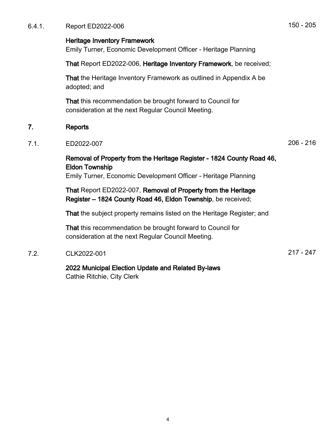6.4.1. Report ED2022-006 150 - 205

#### Heritage Inventory Framework

Emily Turner, Economic Development Officer - Heritage Planning

That Report ED2022-006, Heritage Inventory Framework, be received;

That the Heritage Inventory Framework as outlined in Appendix A be adopted; and

That this recommendation be brought forward to Council for consideration at the next Regular Council Meeting.

#### 7. Reports

#### 7.1. ED2022-007 206 - 216

## Removal of Property from the Heritage Register - 1824 County Road 46, Eldon Township

Emily Turner, Economic Development Officer - Heritage Planning

That Report ED2022-007, Removal of Property from the Heritage Register – 1824 County Road 46, Eldon Township, be received;

That the subject property remains listed on the Heritage Register; and

That this recommendation be brought forward to Council for consideration at the next Regular Council Meeting.

### 7.2. CLK2022-001 217 - 247

2022 Municipal Election Update and Related By-laws Cathie Ritchie, City Clerk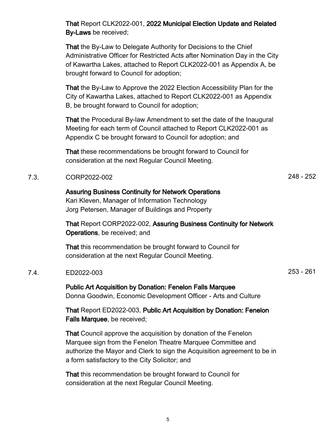That Report CLK2022-001, 2022 Municipal Election Update and Related By-Laws be received;

That the By-Law to Delegate Authority for Decisions to the Chief Administrative Officer for Restricted Acts after Nomination Day in the City of Kawartha Lakes, attached to Report CLK2022-001 as Appendix A, be brought forward to Council for adoption;

That the By-Law to Approve the 2022 Election Accessibility Plan for the City of Kawartha Lakes, attached to Report CLK2022-001 as Appendix B, be brought forward to Council for adoption;

That the Procedural By-law Amendment to set the date of the Inaugural Meeting for each term of Council attached to Report CLK2022-001 as Appendix C be brought forward to Council for adoption; and

That these recommendations be brought forward to Council for consideration at the next Regular Council Meeting.

## 7.3. CORP2022-002 248 - 252

Assuring Business Continuity for Network Operations Kari Kleven, Manager of Information Technology Jorg Petersen, Manager of Buildings and Property

That Report CORP2022-002, Assuring Business Continuity for Network Operations, be received; and

That this recommendation be brought forward to Council for consideration at the next Regular Council Meeting.

#### 7.4. ED2022-003 253 - 261

Public Art Acquisition by Donation: Fenelon Falls Marquee Donna Goodwin, Economic Development Officer - Arts and Culture

That Report ED2022-003, Public Art Acquisition by Donation: Fenelon Falls Marquee, be received;

That Council approve the acquisition by donation of the Fenelon Marquee sign from the Fenelon Theatre Marquee Committee and authorize the Mayor and Clerk to sign the Acquisition agreement to be in a form satisfactory to the City Solicitor; and

That this recommendation be brought forward to Council for consideration at the next Regular Council Meeting.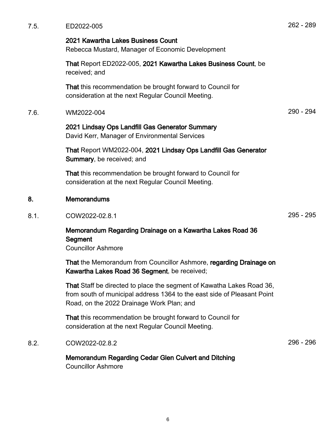| 7.5. | ED2022-005                                                                                                                                                                                    | 262 - 289 |
|------|-----------------------------------------------------------------------------------------------------------------------------------------------------------------------------------------------|-----------|
|      | 2021 Kawartha Lakes Business Count<br>Rebecca Mustard, Manager of Economic Development                                                                                                        |           |
|      | That Report ED2022-005, 2021 Kawartha Lakes Business Count, be<br>received; and                                                                                                               |           |
|      | That this recommendation be brought forward to Council for<br>consideration at the next Regular Council Meeting.                                                                              |           |
| 7.6. | WM2022-004                                                                                                                                                                                    | 290 - 294 |
|      | 2021 Lindsay Ops Landfill Gas Generator Summary<br>David Kerr, Manager of Environmental Services                                                                                              |           |
|      | That Report WM2022-004, 2021 Lindsay Ops Landfill Gas Generator<br>Summary, be received; and                                                                                                  |           |
|      | That this recommendation be brought forward to Council for<br>consideration at the next Regular Council Meeting.                                                                              |           |
| 8.   | <b>Memorandums</b>                                                                                                                                                                            |           |
| 8.1. | COW2022-02.8.1                                                                                                                                                                                | 295 - 295 |
|      | Memorandum Regarding Drainage on a Kawartha Lakes Road 36<br>Segment<br><b>Councillor Ashmore</b>                                                                                             |           |
|      | That the Memorandum from Councillor Ashmore, regarding Drainage on<br>Kawartha Lakes Road 36 Segment, be received;                                                                            |           |
|      | That Staff be directed to place the segment of Kawatha Lakes Road 36,<br>from south of municipal address 1364 to the east side of Pleasant Point<br>Road, on the 2022 Drainage Work Plan; and |           |
|      | That this recommendation be brought forward to Council for<br>consideration at the next Regular Council Meeting.                                                                              |           |
| 8.2. | COW2022-02.8.2                                                                                                                                                                                | 296 - 296 |
|      | Memorandum Regarding Cedar Glen Culvert and Ditching<br><b>Councillor Ashmore</b>                                                                                                             |           |